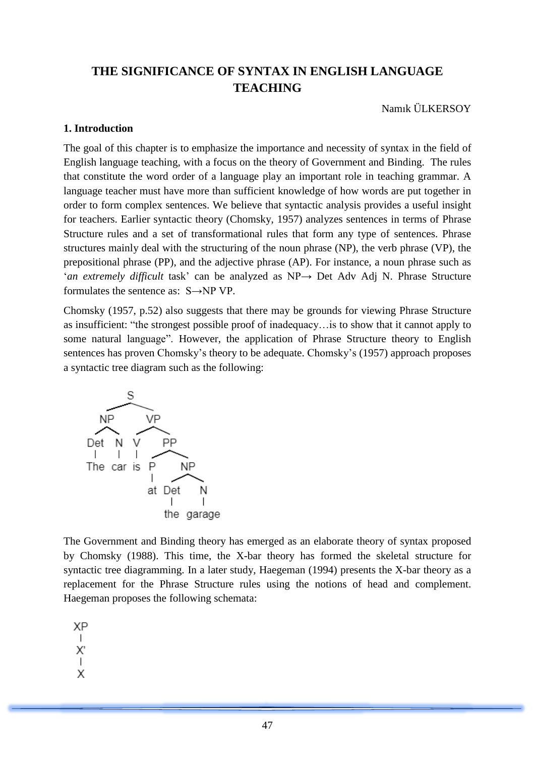# **THE SIGNIFICANCE OF SYNTAX IN ENGLISH LANGUAGE TEACHING**

Namık ÜLKERSOY

## **1. Introduction**

The goal of this chapter is to emphasize the importance and necessity of syntax in the field of English language teaching, with a focus on the theory of Government and Binding. The rules that constitute the word order of a language play an important role in teaching grammar. A language teacher must have more than sufficient knowledge of how words are put together in order to form complex sentences. We believe that syntactic analysis provides a useful insight for teachers. Earlier syntactic theory (Chomsky, 1957) analyzes sentences in terms of Phrase Structure rules and a set of transformational rules that form any type of sentences. Phrase structures mainly deal with the structuring of the noun phrase (NP), the verb phrase (VP), the prepositional phrase (PP), and the adjective phrase (AP). For instance, a noun phrase such as '*an extremely difficult* task' can be analyzed as NP→ Det Adv Adj N. Phrase Structure formulates the sentence as: S→NP VP.

Chomsky (1957, p.52) also suggests that there may be grounds for viewing Phrase Structure as insufficient: "the strongest possible proof of inadequacy…is to show that it cannot apply to some natural language". However, the application of Phrase Structure theory to English sentences has proven Chomsky's theory to be adequate. Chomsky's (1957) approach proposes a syntactic tree diagram such as the following:



The Government and Binding theory has emerged as an elaborate theory of syntax proposed by Chomsky (1988). This time, the X-bar theory has formed the skeletal structure for syntactic tree diagramming. In a later study, Haegeman (1994) presents the X-bar theory as a replacement for the Phrase Structure rules using the notions of head and complement. Haegeman proposes the following schemata:

**XP** 

 $\overline{1}$ 

Χ  $\overline{1}$ 

- Χ
-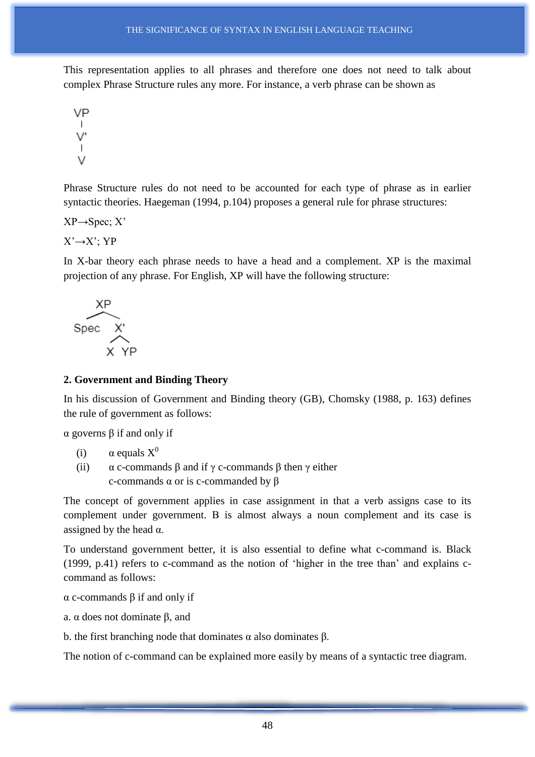This representation applies to all phrases and therefore one does not need to talk about complex Phrase Structure rules any more. For instance, a verb phrase can be shown as

VP  $\vee$ <sup>'</sup>  $\vee$ 

Phrase Structure rules do not need to be accounted for each type of phrase as in earlier syntactic theories. Haegeman (1994, p.104) proposes a general rule for phrase structures:

 $XP \rightarrow Spec; X'$ 

 $X' \rightarrow X'$ : YP

In X-bar theory each phrase needs to have a head and a complement. XP is the maximal projection of any phrase. For English, XP will have the following structure:



## **2. Government and Binding Theory**

In his discussion of Government and Binding theory (GB), Chomsky (1988, p. 163) defines the rule of government as follows:

α governs β if and only if

- (i)  $\alpha$  equals  $X^0$
- (ii)  $\alpha$  c-commands  $\beta$  and if  $\gamma$  c-commands  $\beta$  then  $\gamma$  either c-commands α or is c-commanded by β

The concept of government applies in case assignment in that a verb assigns case to its complement under government. Β is almost always a noun complement and its case is assigned by the head  $\alpha$ .

To understand government better, it is also essential to define what c-command is. Black (1999, p.41) refers to c-command as the notion of 'higher in the tree than' and explains ccommand as follows:

α c-commands β if and only if

a. α does not dominate β, and

b. the first branching node that dominates α also dominates β.

The notion of c-command can be explained more easily by means of a syntactic tree diagram.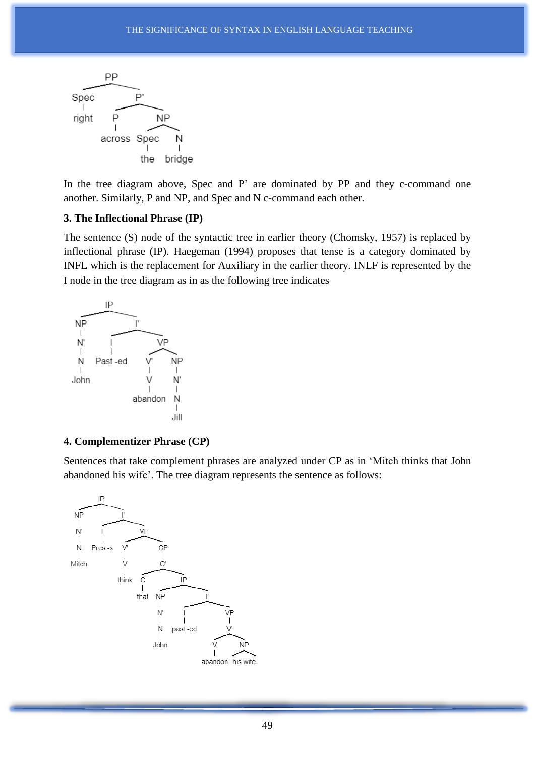

In the tree diagram above, Spec and P' are dominated by PP and they c-command one another. Similarly, P and NP, and Spec and N c-command each other.

#### **3. The Inflectional Phrase (IP)**

The sentence (S) node of the syntactic tree in earlier theory (Chomsky, 1957) is replaced by inflectional phrase (IP). Haegeman (1994) proposes that tense is a category dominated by INFL which is the replacement for Auxiliary in the earlier theory. INLF is represented by the I node in the tree diagram as in as the following tree indicates



#### **4. Complementizer Phrase (CP)**

Sentences that take complement phrases are analyzed under CP as in 'Mitch thinks that John abandoned his wife'. The tree diagram represents the sentence as follows:

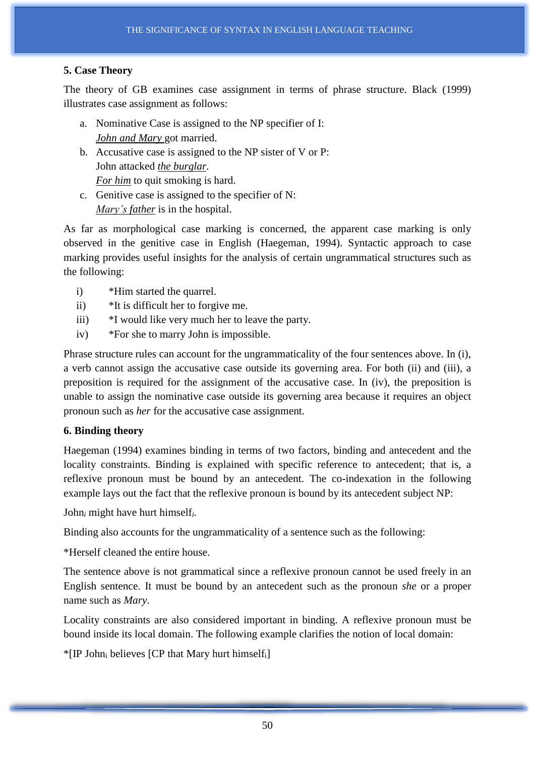# **5. Case Theory**

The theory of GB examines case assignment in terms of phrase structure. Black (1999) illustrates case assignment as follows:

- a. Nominative Case is assigned to the NP specifier of I: *John and Mary* got married.
- b. Accusative case is assigned to the NP sister of V or P: John attacked *the burglar. For him* to quit smoking is hard.
- c. Genitive case is assigned to the specifier of N: *Mary's father* is in the hospital.

As far as morphological case marking is concerned, the apparent case marking is only observed in the genitive case in English (Haegeman, 1994). Syntactic approach to case marking provides useful insights for the analysis of certain ungrammatical structures such as the following:

- i) \*Him started the quarrel.
- ii) \*It is difficult her to forgive me.
- iii) \*I would like very much her to leave the party.
- iv) \*For she to marry John is impossible.

Phrase structure rules can account for the ungrammaticality of the four sentences above. In (i), a verb cannot assign the accusative case outside its governing area. For both (ii) and (iii), a preposition is required for the assignment of the accusative case. In (iv), the preposition is unable to assign the nominative case outside its governing area because it requires an object pronoun such as *her* for the accusative case assignment.

## **6. Binding theory**

Haegeman (1994) examines binding in terms of two factors, binding and antecedent and the locality constraints. Binding is explained with specific reference to antecedent; that is, a reflexive pronoun must be bound by an antecedent. The co-indexation in the following example lays out the fact that the reflexive pronoun is bound by its antecedent subject NP:

John*<sup>i</sup>* might have hurt himself*i.*

Binding also accounts for the ungrammaticality of a sentence such as the following:

\*Herself cleaned the entire house.

The sentence above is not grammatical since a reflexive pronoun cannot be used freely in an English sentence. It must be bound by an antecedent such as the pronoun *she* or a proper name such as *Mary*.

Locality constraints are also considered important in binding. A reflexive pronoun must be bound inside its local domain. The following example clarifies the notion of local domain:

 $*$ [IP John<sub>i</sub> believes [CP that Mary hurt himself<sub>i</sub>]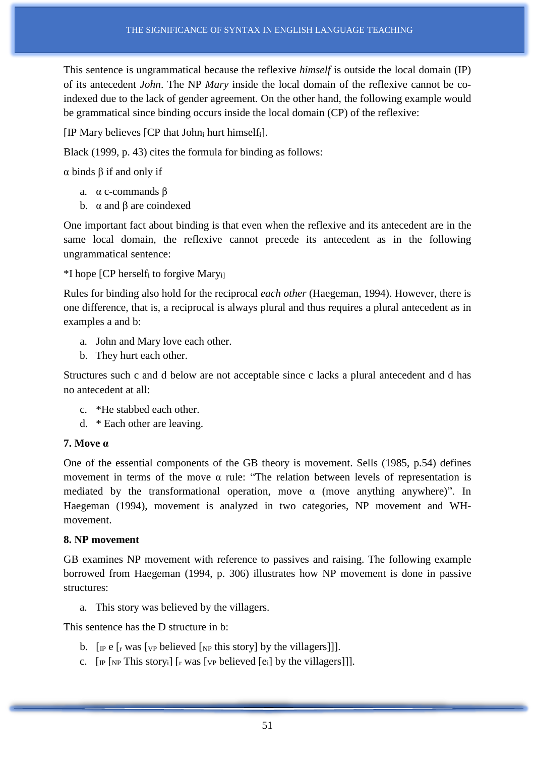This sentence is ungrammatical because the reflexive *himself* is outside the local domain (IP) of its antecedent *John*. The NP *Mary* inside the local domain of the reflexive cannot be coindexed due to the lack of gender agreement. On the other hand, the following example would be grammatical since binding occurs inside the local domain (CP) of the reflexive:

[IP Mary believes [CP that John<sub>i</sub> hurt himself<sub>i</sub>].

Black (1999, p. 43) cites the formula for binding as follows:

α binds β if and only if

- a. α c-commands β
- b.  $α$  and  $β$  are coindexed

One important fact about binding is that even when the reflexive and its antecedent are in the same local domain, the reflexive cannot precede its antecedent as in the following ungrammatical sentence:

 $*$ I hope [CP herself<sub>i</sub> to forgive Mary<sub>i]</sub>

Rules for binding also hold for the reciprocal *each other* (Haegeman, 1994). However, there is one difference, that is, a reciprocal is always plural and thus requires a plural antecedent as in examples a and b:

- a. John and Mary love each other.
- b. They hurt each other.

Structures such c and d below are not acceptable since c lacks a plural antecedent and d has no antecedent at all:

- c. \*He stabbed each other.
- d. \* Each other are leaving.

## **7. Move α**

One of the essential components of the GB theory is movement. Sells (1985, p.54) defines movement in terms of the move  $\alpha$  rule: "The relation between levels of representation is mediated by the transformational operation, move  $\alpha$  (move anything anywhere)". In Haegeman (1994), movement is analyzed in two categories, NP movement and WHmovement.

### **8. NP movement**

GB examines NP movement with reference to passives and raising. The following example borrowed from Haegeman (1994, p. 306) illustrates how NP movement is done in passive structures:

a. This story was believed by the villagers.

This sentence has the D structure in b:

- b.  $\lceil \mathbf{p} \rceil$  [re  $\lceil \mathbf{r} \rceil$  was  $\lceil \mathbf{v} \rceil$  believed  $\lceil \mathbf{v} \rceil$  this story by the villagers]].
- c.  $[\text{IP} \text{N} \text{P} \text{This story}_i] [\text{I} \text{was } \text{N} \text{P} \text{ believed } [\text{e}_i] \text{by the villages}]]$ .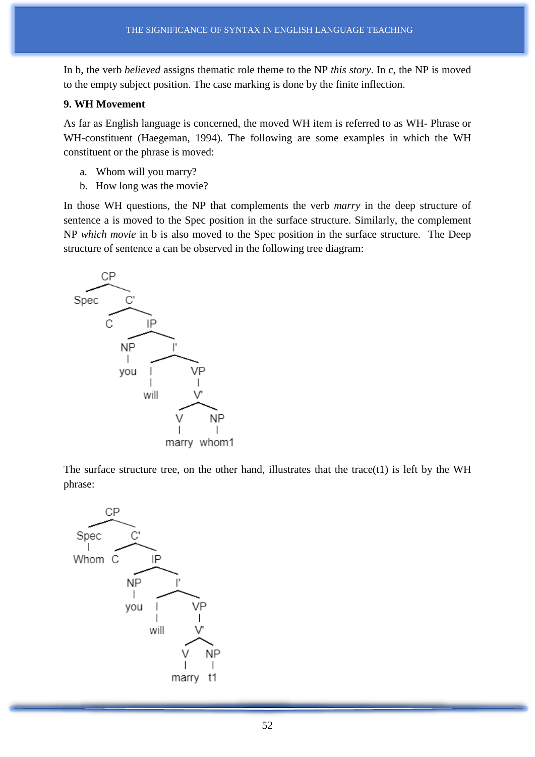In b, the verb *believed* assigns thematic role theme to the NP *this story*. In c, the NP is moved to the empty subject position. The case marking is done by the finite inflection.

## **9. WH Movement**

As far as English language is concerned, the moved WH item is referred to as WH- Phrase or WH-constituent (Haegeman, 1994). The following are some examples in which the WH constituent or the phrase is moved:

- a. Whom will you marry?
- b. How long was the movie?

In those WH questions, the NP that complements the verb *marry* in the deep structure of sentence a is moved to the Spec position in the surface structure. Similarly, the complement NP *which movie* in b is also moved to the Spec position in the surface structure. The Deep structure of sentence a can be observed in the following tree diagram:



The surface structure tree, on the other hand, illustrates that the trace $(t1)$  is left by the WH phrase:

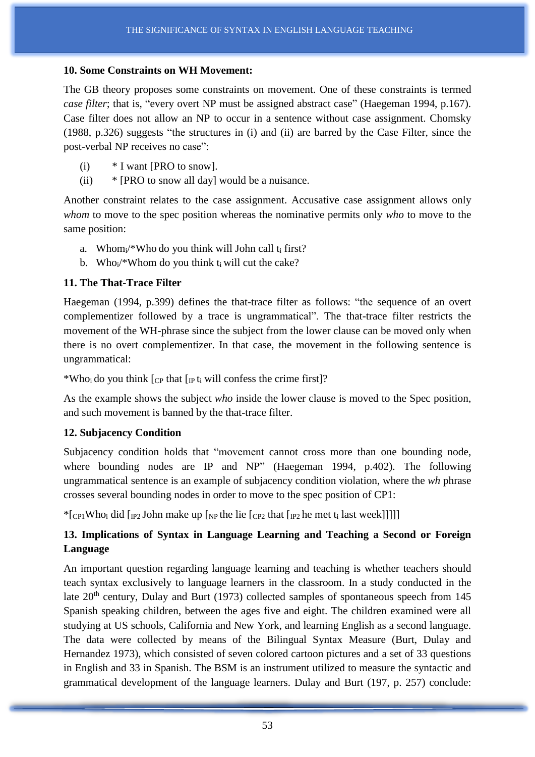## **10. Some Constraints on WH Movement:**

The GB theory proposes some constraints on movement. One of these constraints is termed *case filter*; that is, "every overt NP must be assigned abstract case" (Haegeman 1994, p.167). Case filter does not allow an NP to occur in a sentence without case assignment. Chomsky (1988, p.326) suggests "the structures in (i) and (ii) are barred by the Case Filter, since the post-verbal NP receives no case":

- (i) \* I want [PRO to snow].
- (ii) \* [PRO to snow all day] would be a nuisance.

Another constraint relates to the case assignment. Accusative case assignment allows only *whom* to move to the spec position whereas the nominative permits only *who* to move to the same position:

- a. Whom $\mu$ <sup>\*</sup>Who do you think will John call t<sub>i</sub> first?
- b. Who<sub>i</sub>/\*Whom do you think t<sub>i</sub> will cut the cake?

# **11. The That-Trace Filter**

Haegeman (1994, p.399) defines the that-trace filter as follows: "the sequence of an overt complementizer followed by a trace is ungrammatical". The that-trace filter restricts the movement of the WH-phrase since the subject from the lower clause can be moved only when there is no overt complementizer. In that case, the movement in the following sentence is ungrammatical:

\*Who<sub>i</sub> do you think  $[CP]$  that  $[IP]$  t<sub>i</sub> will confess the crime first]?

As the example shows the subject *who* inside the lower clause is moved to the Spec position, and such movement is banned by the that-trace filter.

# **12. Subjacency Condition**

Subjacency condition holds that "movement cannot cross more than one bounding node, where bounding nodes are IP and NP" (Haegeman 1994, p.402). The following ungrammatical sentence is an example of subjacency condition violation, where the *wh* phrase crosses several bounding nodes in order to move to the spec position of CP1:

\*[CP1Whoi did [IP2 John make up [NP the lie [CP2 that  $[IP2$  he met t<sub>i</sub> last week]]]]]

# **13. Implications of Syntax in Language Learning and Teaching a Second or Foreign Language**

An important question regarding language learning and teaching is whether teachers should teach syntax exclusively to language learners in the classroom. In a study conducted in the late  $20<sup>th</sup>$  century, Dulay and Burt (1973) collected samples of spontaneous speech from 145 Spanish speaking children, between the ages five and eight. The children examined were all studying at US schools, California and New York, and learning English as a second language. The data were collected by means of the Bilingual Syntax Measure (Burt, Dulay and Hernandez 1973), which consisted of seven colored cartoon pictures and a set of 33 questions in English and 33 in Spanish. The BSM is an instrument utilized to measure the syntactic and grammatical development of the language learners. Dulay and Burt (197, p. 257) conclude: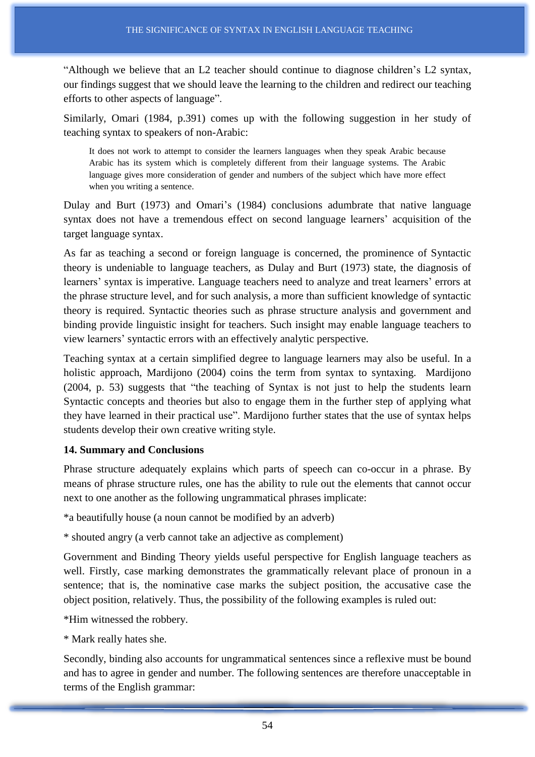"Although we believe that an L2 teacher should continue to diagnose children's L2 syntax, our findings suggest that we should leave the learning to the children and redirect our teaching efforts to other aspects of language".

Similarly, Omari (1984, p.391) comes up with the following suggestion in her study of teaching syntax to speakers of non-Arabic:

It does not work to attempt to consider the learners languages when they speak Arabic because Arabic has its system which is completely different from their language systems. The Arabic language gives more consideration of gender and numbers of the subject which have more effect when you writing a sentence.

Dulay and Burt (1973) and Omari's (1984) conclusions adumbrate that native language syntax does not have a tremendous effect on second language learners' acquisition of the target language syntax.

As far as teaching a second or foreign language is concerned, the prominence of Syntactic theory is undeniable to language teachers, as Dulay and Burt (1973) state, the diagnosis of learners' syntax is imperative. Language teachers need to analyze and treat learners' errors at the phrase structure level, and for such analysis, a more than sufficient knowledge of syntactic theory is required. Syntactic theories such as phrase structure analysis and government and binding provide linguistic insight for teachers. Such insight may enable language teachers to view learners' syntactic errors with an effectively analytic perspective.

Teaching syntax at a certain simplified degree to language learners may also be useful. In a holistic approach, Mardijono (2004) coins the term from syntax to syntaxing. Mardijono (2004, p. 53) suggests that "the teaching of Syntax is not just to help the students learn Syntactic concepts and theories but also to engage them in the further step of applying what they have learned in their practical use". Mardijono further states that the use of syntax helps students develop their own creative writing style.

### **14. Summary and Conclusions**

Phrase structure adequately explains which parts of speech can co-occur in a phrase. By means of phrase structure rules, one has the ability to rule out the elements that cannot occur next to one another as the following ungrammatical phrases implicate:

\*a beautifully house (a noun cannot be modified by an adverb)

\* shouted angry (a verb cannot take an adjective as complement)

Government and Binding Theory yields useful perspective for English language teachers as well. Firstly, case marking demonstrates the grammatically relevant place of pronoun in a sentence; that is, the nominative case marks the subject position, the accusative case the object position, relatively. Thus, the possibility of the following examples is ruled out:

\*Him witnessed the robbery.

\* Mark really hates she.

Secondly, binding also accounts for ungrammatical sentences since a reflexive must be bound and has to agree in gender and number. The following sentences are therefore unacceptable in terms of the English grammar: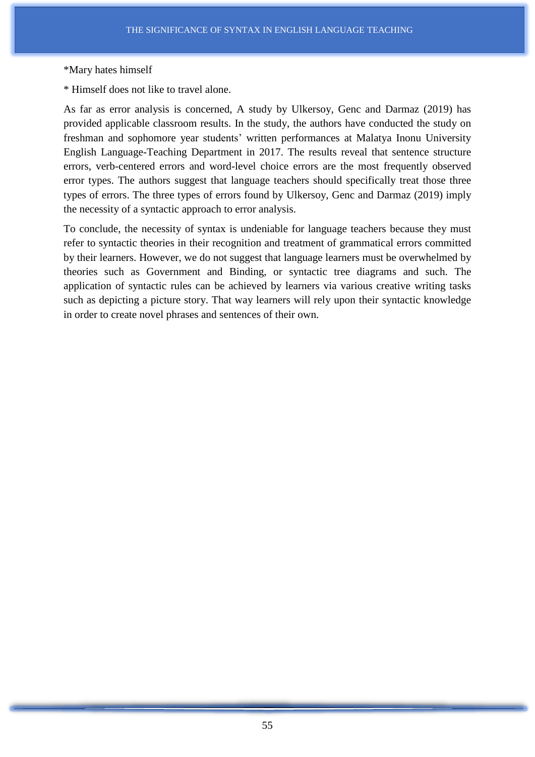#### \*Mary hates himself

\* Himself does not like to travel alone.

As far as error analysis is concerned, A study by Ulkersoy, Genc and Darmaz (2019) has provided applicable classroom results. In the study, the authors have conducted the study on freshman and sophomore year students' written performances at Malatya Inonu University English Language-Teaching Department in 2017. The results reveal that sentence structure errors, verb-centered errors and word-level choice errors are the most frequently observed error types. The authors suggest that language teachers should specifically treat those three types of errors. The three types of errors found by Ulkersoy, Genc and Darmaz (2019) imply the necessity of a syntactic approach to error analysis.

To conclude, the necessity of syntax is undeniable for language teachers because they must refer to syntactic theories in their recognition and treatment of grammatical errors committed by their learners. However, we do not suggest that language learners must be overwhelmed by theories such as Government and Binding, or syntactic tree diagrams and such. The application of syntactic rules can be achieved by learners via various creative writing tasks such as depicting a picture story. That way learners will rely upon their syntactic knowledge in order to create novel phrases and sentences of their own.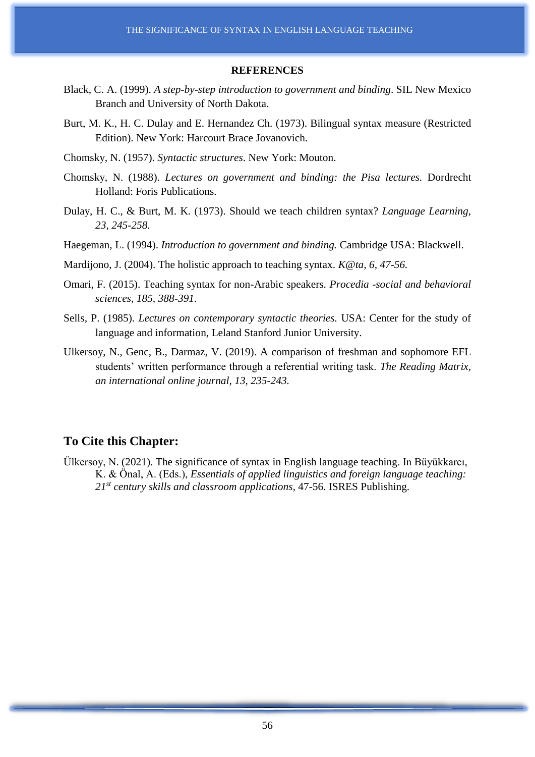#### **REFERENCES**

- Black, C. A. (1999). *A step-by-step introduction to government and binding*. SIL New Mexico Branch and University of North Dakota.
- Burt, M. K., H. C. Dulay and E. Hernandez Ch. (1973). Bilingual syntax measure (Restricted Edition). New York: Harcourt Brace Jovanovich.
- Chomsky, N. (1957). *Syntactic structures*. New York: Mouton.
- Chomsky, N. (1988). *Lectures on government and binding: the Pisa lectures.* Dordrecht Holland: Foris Publications.
- Dulay, H. C., & Burt, M. K. (1973). Should we teach children syntax? *Language Learning, 23, 245-258.*
- Haegeman, L. (1994). *Introduction to government and binding.* Cambridge USA: Blackwell.
- Mardijono, J. (2004). The holistic approach to teaching syntax. *K@ta, 6, 47-56.*
- Omari, F. (2015). Teaching syntax for non-Arabic speakers. *Procedia -social and behavioral sciences, 185, 388-391.*
- Sells, P. (1985). *Lectures on contemporary syntactic theories.* USA: Center for the study of language and information, Leland Stanford Junior University.
- Ulkersoy, N., Genc, B., Darmaz, V. (2019). A comparison of freshman and sophomore EFL students' written performance through a referential writing task. *The Reading Matrix, an international online journal, 13, 235-243.*

# **To Cite this Chapter:**

Ülkersoy, N. (2021). The significance of syntax in English language teaching. In Büyükkarcı, K. & Önal, A. (Eds.), *Essentials of applied linguistics and foreign language teaching: 21 st century skills and classroom applications*, 47-56. ISRES Publishing.